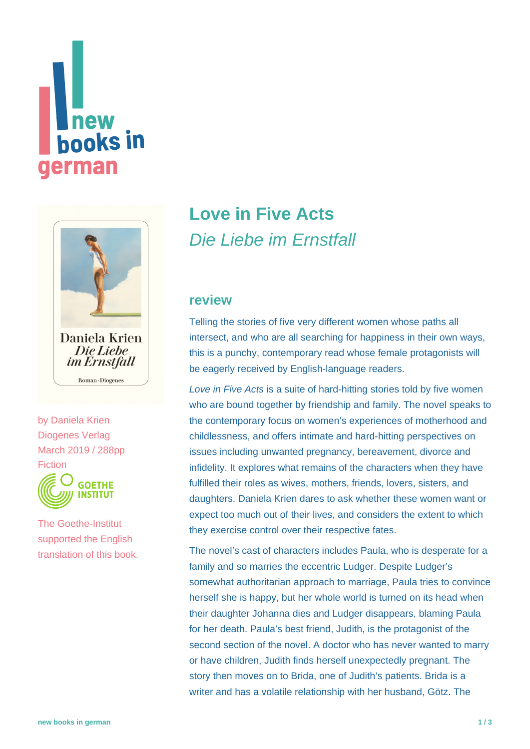# **Thew<br>books in** german



Die Liebe *im Ernstfall* Roman · Diogenes

by [Daniela Krien](https://www.new-books-in-german.com/recommendations/?searchInput=Daniela%20Krien) Diogenes Verlag March 2019 / 288pp Fiction



The Goethe-Institut supported the English translation of this book.

## **[Love in Five Acts](https://www.new-books-in-german.com/recommendations/love-in-five-acts/)** Die Liebe im Ernstfall

#### **review**

Telling the stories of five very different women whose paths all intersect, and who are all searching for happiness in their own ways, this is a punchy, contemporary read whose female protagonists will be eagerly received by English-language readers.

Love in Five Acts is a suite of hard-hitting stories told by five women who are bound together by friendship and family. The novel speaks to the contemporary focus on women's experiences of motherhood and childlessness, and offers intimate and hard-hitting perspectives on issues including unwanted pregnancy, bereavement, divorce and infidelity. It explores what remains of the characters when they have fulfilled their roles as wives, mothers, friends, lovers, sisters, and daughters. Daniela Krien dares to ask whether these women want or expect too much out of their lives, and considers the extent to which they exercise control over their respective fates.

The novel's cast of characters includes Paula, who is desperate for a family and so marries the eccentric Ludger. Despite Ludger's somewhat authoritarian approach to marriage, Paula tries to convince herself she is happy, but her whole world is turned on its head when their daughter Johanna dies and Ludger disappears, blaming Paula for her death. Paula's best friend, Judith, is the protagonist of the second section of the novel. A doctor who has never wanted to marry or have children, Judith finds herself unexpectedly pregnant. The story then moves on to Brida, one of Judith's patients. Brida is a writer and has a volatile relationship with her husband, Götz. The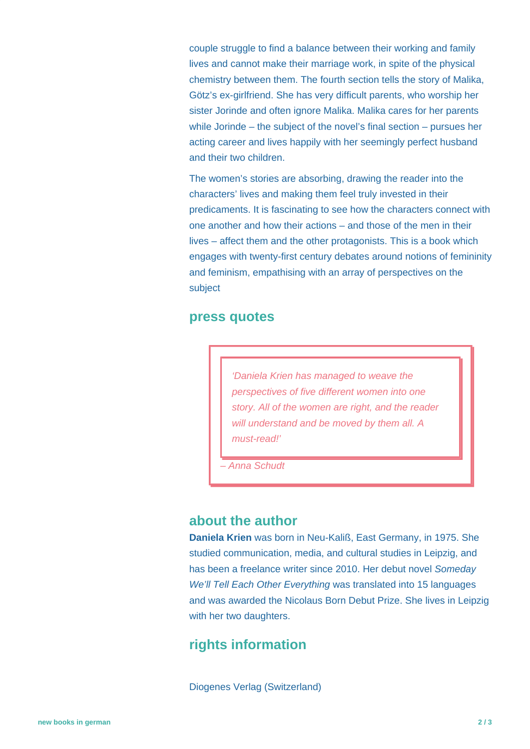couple struggle to find a balance between their working and family lives and cannot make their marriage work, in spite of the physical chemistry between them. The fourth section tells the story of Malika, Götz's ex-girlfriend. She has very difficult parents, who worship her sister Jorinde and often ignore Malika. Malika cares for her parents while Jorinde – the subject of the novel's final section – pursues her acting career and lives happily with her seemingly perfect husband and their two children.

The women's stories are absorbing, drawing the reader into the characters' lives and making them feel truly invested in their predicaments. It is fascinating to see how the characters connect with one another and how their actions – and those of the men in their lives – affect them and the other protagonists. This is a book which engages with twenty-first century debates around notions of femininity and feminism, empathising with an array of perspectives on the subject

#### **press quotes**

'Daniela Krien has managed to weave the perspectives of five different women into one story. All of the women are right, and the reader will understand and be moved by them all. A must-read!'

– Anna Schudt

#### **about the author**

**Daniela Krien** was born in Neu-Kaliß, East Germany, in 1975. She studied communication, media, and cultural studies in Leipzig, and has been a freelance writer since 2010. Her debut novel Someday We'll Tell Each Other Everything was translated into 15 languages and was awarded the Nicolaus Born Debut Prize. She lives in Leipzig with her two daughters.

### **rights information**

Diogenes Verlag (Switzerland)